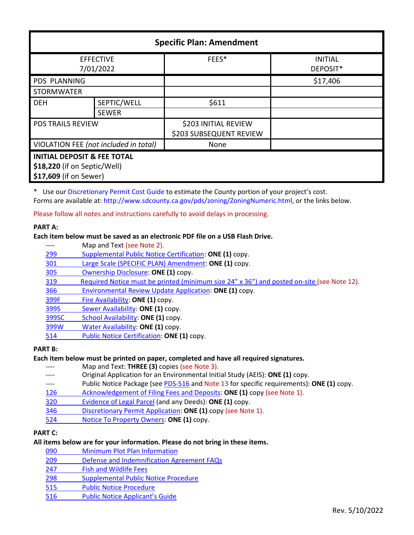| <b>Specific Plan: Amendment</b>        |              |                                                 |                            |  |
|----------------------------------------|--------------|-------------------------------------------------|----------------------------|--|
| <b>EFFECTIVE</b><br>7/01/2022          |              | FEES*                                           | <b>INITIAL</b><br>DEPOSIT* |  |
| <b>PDS PLANNING</b>                    |              |                                                 | \$17,406                   |  |
| <b>STORMWATER</b>                      |              |                                                 |                            |  |
| <b>DEH</b>                             | SEPTIC/WELL  | \$611                                           |                            |  |
|                                        | <b>SEWER</b> |                                                 |                            |  |
| <b>PDS TRAILS REVIEW</b>               |              | \$203 INITIAL REVIEW<br>\$203 SUBSEQUENT REVIEW |                            |  |
| VIOLATION FEE (not included in total)  |              | None                                            |                            |  |
| <b>INITIAL DEPOSIT &amp; FEE TOTAL</b> |              |                                                 |                            |  |
| \$18,220 (if on Septic/Well)           |              |                                                 |                            |  |
| \$17,609 (if on Sewer)                 |              |                                                 |                            |  |

\* Use our [Discretionary Permit Cost Guide](http://www.sandiegocounty.gov/content/dam/sdc/pds/docs/Discretionary_Permit_Cost_Guide.xlsx) to estimate the County portion of your project's cost. Forms are available at: [http://www.sdcounty.ca.gov/pds/zoning/ZoningNumeric.html,](http://www.sdcounty.ca.gov/pds/zoning/ZoningNumeric.html) or the links below.

Please follow all notes and instructions carefully to avoid delays in processing.

#### **PART A:**

## **Each item below must be saved as an electronic PDF file on a USB Flash Drive.**

- ---- Map and Text (see Note 2).
- 299 [Supplemental Public Notice Certification:](http://www.sdcounty.ca.gov/pds/zoning/formfields/PDS-PLN-299.pdf) **ONE (1)** copy.
- [301 Large Scale \(SPECIFIC PLAN\) Amendment:](http://www.sdcounty.ca.gov/pds/zoning/formfields/PDS-PLN-301.pdf) **ONE (1)** copy.
- [305 Ownership Disclosure:](http://www.sdcounty.ca.gov/pds/zoning/formfields/PDS-PLN-305.pdf) **ONE (1)** copy.
- [319 Required Notice must be printed \(minimum](https://www.sandiegocounty.gov/content/dam/sdc/pds/zoning/formfields/PDS-PLN-319.pdf) size 24" x 36") and posted on-site (see Note 12).
- [366 Environmental Review Update Application:](http://www.sdcounty.ca.gov/pds/zoning/formfields/PDS-PLN-366.pdf) **ONE (1)** copy.
- [399F Fire Availability:](http://www.sdcounty.ca.gov/pds/zoning/formfields/PDS-PLN-399F.pdf) **ONE (1)** copy.
- 399S [Sewer Availability:](http://www.sdcounty.ca.gov/pds/zoning/formfields/PDS-PLN-399S.pdf) **ONE (1)** copy.
- [399SC School Availability:](http://www.sdcounty.ca.gov/pds/zoning/formfields/PDS-PLN-399SC.pdf) **ONE (1)** copy.
- [399W Water Availability:](http://www.sdcounty.ca.gov/pds/zoning/formfields/PDS-PLN-399W.pdf) **ONE (1)** copy.
- [514 Public Notice Certification:](http://www.sdcounty.ca.gov/pds/zoning/formfields/PDS-PLN-514.pdf) **ONE (1)** copy.

# **PART B:**

# **Each item below must be printed on paper, completed and have all required signatures.**

- ---- Map and Text: **THREE (3)** copies (see Note 3).
- Original Application for an Environmental Initial Study (AEIS): ONE (1) copy.
- ---- Public Notice Package (se[e PDS-516 a](http://www.sdcounty.ca.gov/pds/zoning/formfields/PDS-PLN-516.pdf)nd Note 13 for specific requirements): **ONE (1)** copy.
- [126 Acknowledgement of](http://www.sdcounty.ca.gov/pds/zoning/formfields/PDS-PLN-126.pdf) Filing Fees and Deposits: **ONE (1)** copy (see Note 1).
- [320 Evidence of Legal Parcel](http://www.sdcounty.ca.gov/pds/zoning/formfields/PDS-PLN-320.pdf) (and any Deeds): **ONE (1)** copy.
- 346 [Discretionary Permit Application:](http://www.sdcounty.ca.gov/pds/zoning/formfields/PDS-PLN-346.pdf) **ONE (1)** copy (see Note 1).
- 524 [Notice To Property Owners:](http://www.sdcounty.ca.gov/pds/zoning/formfields/PDS-PLN-524.pdf) **ONE (1)** copy.

# **PART C:**

#### **All items below are for your information. Please do not bring in these items.**

- 090 [Minimum Plot Plan Information](http://www.sdcounty.ca.gov/pds/docs/pds090.pdf)
- 209 [Defense and Indemnification Agreement FAQs](http://www.sdcounty.ca.gov/pds/zoning/formfields/PDS-PLN-209.pdf)
- [247 Fish and Wildlife Fees](http://www.sdcounty.ca.gov/pds/zoning/formfields/PDS-PLN-247.pdf)
- [298 Supplemental Public Notice Procedure](http://www.sdcounty.ca.gov/pds/zoning/formfields/PDS-PLN-298.pdf)
- [515 Public Notice Procedure](http://www.sdcounty.ca.gov/pds/zoning/formfields/PDS-PLN-515.pdf)
- [516 Public Notice Applicant's Guide](http://www.sdcounty.ca.gov/pds/zoning/formfields/PDS-PLN-516.pdf)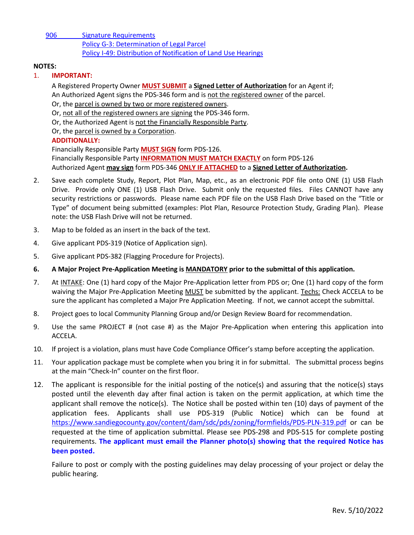[906 Signature Requirements](http://www.sdcounty.ca.gov/pds/zoning/formfields/PDS-PLN-906.pdf)  [Policy G-3: Determination of Legal Parcel](http://www.sdcounty.ca.gov/pds/zoning/formfields/POLICY-G-3.pdf)  [Policy I-49: Distribution of Notification](http://www.sdcounty.ca.gov/cob/docs/policy/I-49.pdf) of Land Use Hearings

#### **NOTES:**

#### 1. **IMPORTANT:**

A Registered Property Owner **MUST SUBMIT** a **Signed Letter of Authorization** for an Agent if; An Authorized Agent signs the PDS-346 form and is not the registered owner of the parcel. Or, the parcel is owned by two or more registered owners. Or, not all of the registered owners are signing the PDS-346 form.

Or, the Authorized Agent is not the Financially Responsible Party.

Or, the parcel is owned by a Corporation.

## **ADDITIONALLY:**

Financially Responsible Party **MUST SIGN** form PDS-126. Financially Responsible Party **INFORMATION MUST MATCH EXACTLY** on form PDS-126 Authorized Agent **may sign** form PDS-346 **ONLY IF ATTACHED** to a **Signed Letter of Authorization.** 

- 2. Save each complete Study, Report, Plot Plan, Map, etc., as an electronic PDF file onto ONE (1) USB Flash Drive. Provide only ONE (1) USB Flash Drive. Submit only the requested files. Files CANNOT have any security restrictions or passwords. Please name each PDF file on the USB Flash Drive based on the "Title or Type" of document being submitted (examples: Plot Plan, Resource Protection Study, Grading Plan). Please note: the USB Flash Drive will not be returned.
- 3. Map to be folded as an insert in the back of the text.
- 4. Give applicant PDS-319 (Notice of Application sign).
- 5. Give applicant PDS-382 (Flagging Procedure for Projects).
- **6. A Major Project Pre-Application Meeting is MANDATORY prior to the submittal of this application.**
- 7. At INTAKE: One (1) hard copy of the Major Pre-Application letter from PDS or; One (1) hard copy of the form waiving the Major Pre-Application Meeting MUST be submitted by the applicant. Techs: Check ACCELA to be sure the applicant has completed a Major Pre Application Meeting. If not, we cannot accept the submittal.
- 8. Project goes to local Community Planning Group and/or Design Review Board for recommendation.
- 9. Use the same PROJECT # (not case #) as the Major Pre-Application when entering this application into ACCELA.
- 10. If project is a violation, plans must have Code Compliance Officer's stamp before accepting the application.
- 11. Your application package must be complete when you bring it in for submittal. The submittal process begins at the main "Check-In" counter on the first floor.
- 12. The applicant is responsible for the initial posting of the notice(s) and assuring that the notice(s) stays posted until the eleventh day after final action is taken on the permit application, at which time the applicant shall remove the notice(s). The Notice shall be posted within ten (10) days of payment of the application fees. Applicants shall use PDS-319 (Public Notice) which can be found at <https://www.sandiegocounty.gov/content/dam/sdc/pds/zoning/formfields/PDS-PLN-319.pdf> or can be requested at the time of application submittal. Please see PDS-298 and PDS-515 for complete posting requirements. **The applicant must email the Planner photo(s) showing that the required Notice has been posted.**

Failure to post or comply with the posting guidelines may delay processing of your project or delay the public hearing.